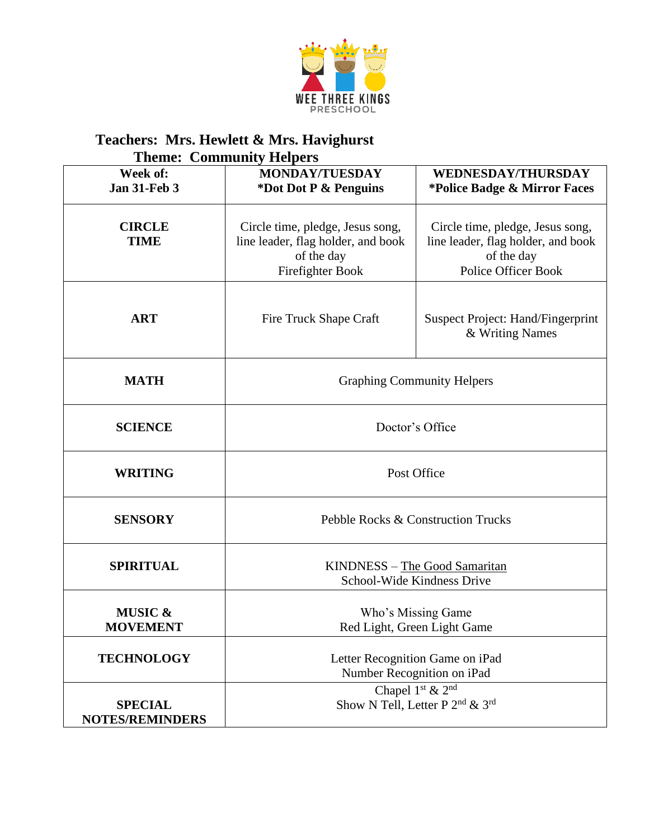

| <b>Theme: Community Helpers</b>          |                                                                                                          |                                                                                                                    |  |  |
|------------------------------------------|----------------------------------------------------------------------------------------------------------|--------------------------------------------------------------------------------------------------------------------|--|--|
| Week of:<br><b>Jan 31-Feb 3</b>          | <b>MONDAY/TUESDAY</b><br>*Dot Dot P & Penguins                                                           | WEDNESDAY/THURSDAY<br>*Police Badge & Mirror Faces                                                                 |  |  |
| <b>CIRCLE</b><br><b>TIME</b>             | Circle time, pledge, Jesus song,<br>line leader, flag holder, and book<br>of the day<br>Firefighter Book | Circle time, pledge, Jesus song,<br>line leader, flag holder, and book<br>of the day<br><b>Police Officer Book</b> |  |  |
| <b>ART</b>                               | Fire Truck Shape Craft                                                                                   | <b>Suspect Project: Hand/Fingerprint</b><br>& Writing Names                                                        |  |  |
| <b>MATH</b>                              | <b>Graphing Community Helpers</b>                                                                        |                                                                                                                    |  |  |
| <b>SCIENCE</b>                           | Doctor's Office                                                                                          |                                                                                                                    |  |  |
| <b>WRITING</b>                           | Post Office                                                                                              |                                                                                                                    |  |  |
| <b>SENSORY</b>                           | Pebble Rocks & Construction Trucks                                                                       |                                                                                                                    |  |  |
| <b>SPIRITUAL</b>                         | KINDNESS - The Good Samaritan<br>School-Wide Kindness Drive                                              |                                                                                                                    |  |  |
| <b>MUSIC &amp;</b><br><b>MOVEMENT</b>    | Who's Missing Game<br>Red Light, Green Light Game                                                        |                                                                                                                    |  |  |
| <b>TECHNOLOGY</b>                        | Letter Recognition Game on iPad<br>Number Recognition on iPad                                            |                                                                                                                    |  |  |
| <b>SPECIAL</b><br><b>NOTES/REMINDERS</b> | Chapel 1 <sup>st</sup> & 2 <sup>nd</sup><br>Show N Tell, Letter P $2^{nd}$ & $3^{rd}$                    |                                                                                                                    |  |  |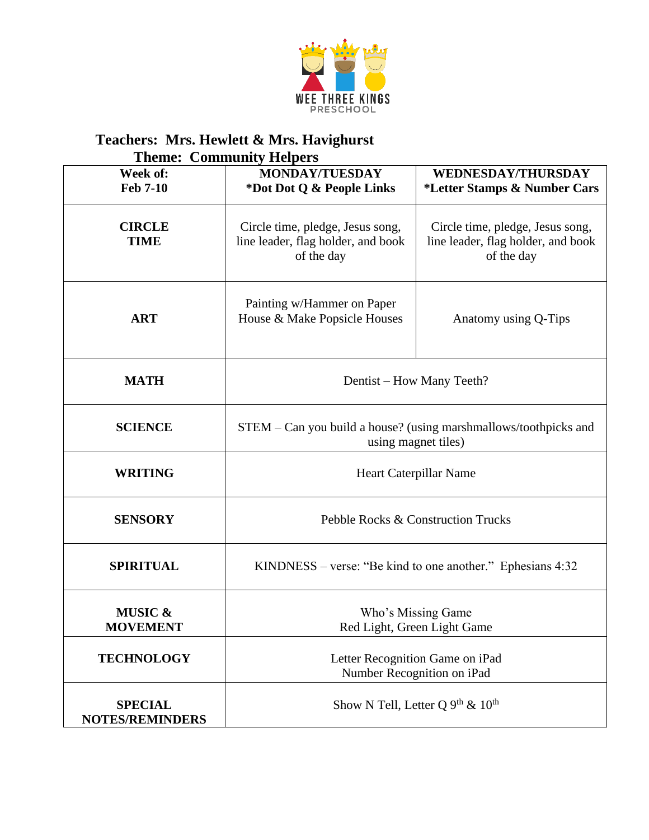

| <b>Theme: Community Helpers</b>          |                                                                                         |                                                                                      |  |  |
|------------------------------------------|-----------------------------------------------------------------------------------------|--------------------------------------------------------------------------------------|--|--|
| Week of:                                 | <b>MONDAY/TUESDAY</b>                                                                   | <b>WEDNESDAY/THURSDAY</b>                                                            |  |  |
| <b>Feb 7-10</b>                          | *Dot Dot Q & People Links                                                               | *Letter Stamps & Number Cars                                                         |  |  |
| <b>CIRCLE</b><br><b>TIME</b>             | Circle time, pledge, Jesus song,<br>line leader, flag holder, and book<br>of the day    | Circle time, pledge, Jesus song,<br>line leader, flag holder, and book<br>of the day |  |  |
| <b>ART</b>                               | Painting w/Hammer on Paper<br>House & Make Popsicle Houses                              | Anatomy using Q-Tips                                                                 |  |  |
| <b>MATH</b>                              | Dentist – How Many Teeth?                                                               |                                                                                      |  |  |
| <b>SCIENCE</b>                           | STEM – Can you build a house? (using marshmallows/toothpicks and<br>using magnet tiles) |                                                                                      |  |  |
| <b>WRITING</b>                           | Heart Caterpillar Name                                                                  |                                                                                      |  |  |
| <b>SENSORY</b>                           | Pebble Rocks & Construction Trucks                                                      |                                                                                      |  |  |
| <b>SPIRITUAL</b>                         | $KINDNESS - verse: "Be kind to one another." Ephesians 4:32$                            |                                                                                      |  |  |
| <b>MUSIC &amp;</b><br><b>MOVEMENT</b>    | Who's Missing Game<br>Red Light, Green Light Game                                       |                                                                                      |  |  |
| <b>TECHNOLOGY</b>                        | Letter Recognition Game on iPad<br>Number Recognition on iPad                           |                                                                                      |  |  |
| <b>SPECIAL</b><br><b>NOTES/REMINDERS</b> | Show N Tell, Letter Q $9^{th}$ & $10^{th}$                                              |                                                                                      |  |  |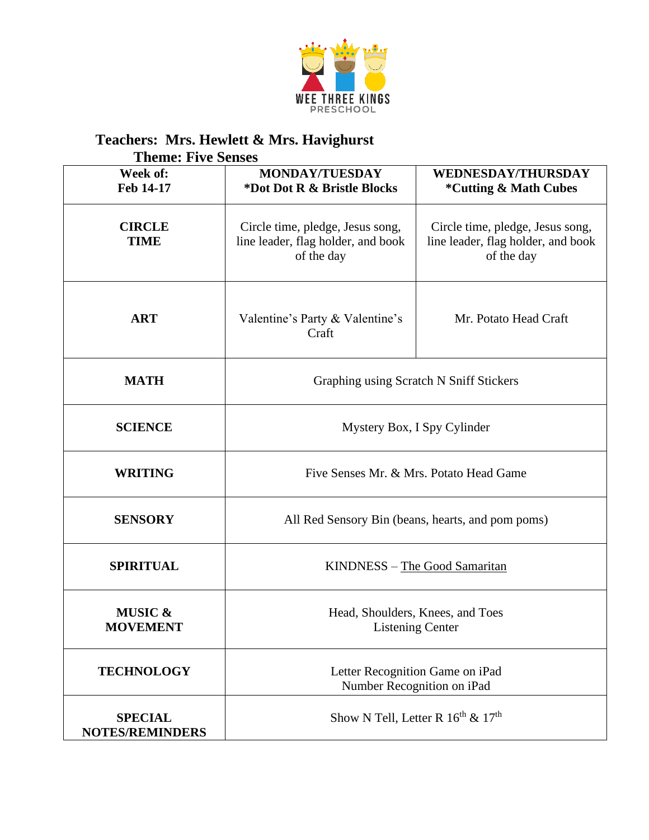

| <b>Theme: Five Senses</b>                |                                                                                      |                                                                                      |  |  |
|------------------------------------------|--------------------------------------------------------------------------------------|--------------------------------------------------------------------------------------|--|--|
| Week of:<br>Feb 14-17                    | <b>MONDAY/TUESDAY</b><br>*Dot Dot R & Bristle Blocks                                 | <b>WEDNESDAY/THURSDAY</b><br><i><b>*Cutting &amp; Math Cubes</b></i>                 |  |  |
| <b>CIRCLE</b><br><b>TIME</b>             | Circle time, pledge, Jesus song,<br>line leader, flag holder, and book<br>of the day | Circle time, pledge, Jesus song,<br>line leader, flag holder, and book<br>of the day |  |  |
| <b>ART</b>                               | Valentine's Party & Valentine's<br>Craft                                             | Mr. Potato Head Craft                                                                |  |  |
| <b>MATH</b>                              | Graphing using Scratch N Sniff Stickers                                              |                                                                                      |  |  |
| <b>SCIENCE</b>                           | Mystery Box, I Spy Cylinder                                                          |                                                                                      |  |  |
| <b>WRITING</b>                           | Five Senses Mr. & Mrs. Potato Head Game                                              |                                                                                      |  |  |
| <b>SENSORY</b>                           | All Red Sensory Bin (beans, hearts, and pom poms)                                    |                                                                                      |  |  |
| <b>SPIRITUAL</b>                         | KINDNESS - The Good Samaritan                                                        |                                                                                      |  |  |
| <b>MUSIC &amp;</b><br><b>MOVEMENT</b>    | Head, Shoulders, Knees, and Toes<br><b>Listening Center</b>                          |                                                                                      |  |  |
| <b>TECHNOLOGY</b>                        | Letter Recognition Game on iPad<br>Number Recognition on iPad                        |                                                                                      |  |  |
| <b>SPECIAL</b><br><b>NOTES/REMINDERS</b> | Show N Tell, Letter R $16^{\text{th}}$ & $17^{\text{th}}$                            |                                                                                      |  |  |